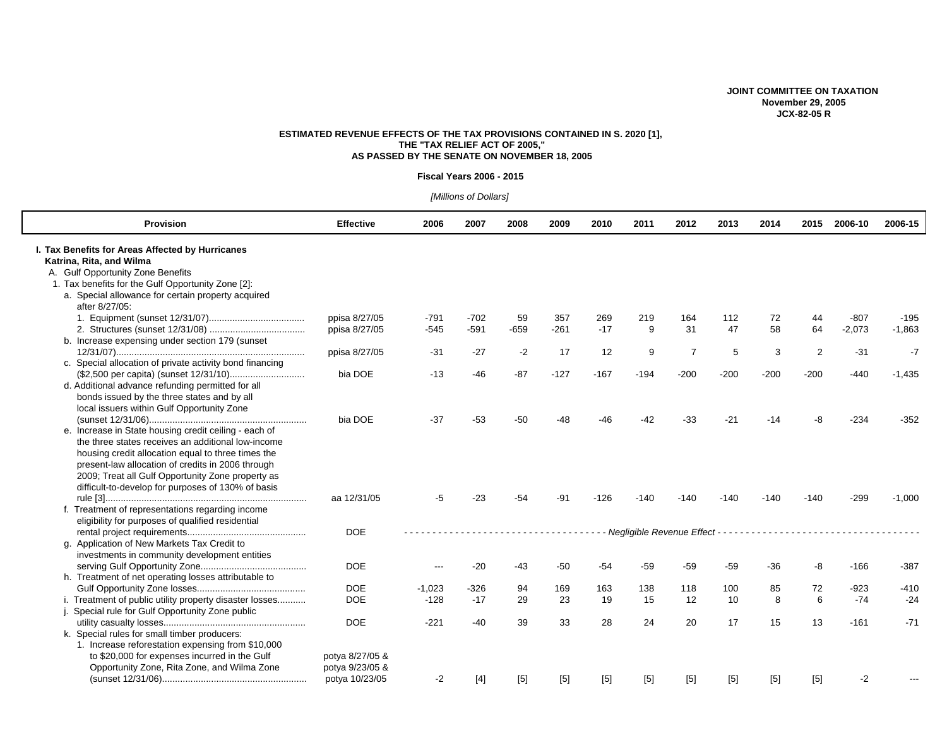### **JOINT COMMITTEE ON TAXATION November 29, 2005 JCX-82-05 R**

# **ESTIMATED REVENUE EFFECTS OF THE TAX PROVISIONS CONTAINED IN S. 2020 [1], THE "TAX RELIEF ACT OF 2005," AS PASSED BY THE SENATE ON NOVEMBER 18, 2005**

#### **Fiscal Years 2006 - 2015**

# *[Millions of Dollars]*

| <b>Provision</b>                                                                                                                                                                                                                                                                                                                  | <b>Effective</b>                  | 2006     | 2007   | 2008   | 2009   | 2010   | 2011                          | 2012           | 2013   | 2014   | 2015           | 2006-10  | 2006-15  |
|-----------------------------------------------------------------------------------------------------------------------------------------------------------------------------------------------------------------------------------------------------------------------------------------------------------------------------------|-----------------------------------|----------|--------|--------|--------|--------|-------------------------------|----------------|--------|--------|----------------|----------|----------|
| I. Tax Benefits for Areas Affected by Hurricanes<br>Katrina, Rita, and Wilma<br>A. Gulf Opportunity Zone Benefits                                                                                                                                                                                                                 |                                   |          |        |        |        |        |                               |                |        |        |                |          |          |
| 1. Tax benefits for the Gulf Opportunity Zone [2]:<br>a. Special allowance for certain property acquired<br>after 8/27/05:                                                                                                                                                                                                        |                                   |          |        |        |        |        |                               |                |        |        |                |          |          |
|                                                                                                                                                                                                                                                                                                                                   | ppisa 8/27/05                     | $-791$   | $-702$ | 59     | 357    | 269    | 219                           | 164            | 112    | 72     | 44             | $-807$   | $-195$   |
|                                                                                                                                                                                                                                                                                                                                   | ppisa 8/27/05                     | $-545$   | $-591$ | $-659$ | $-261$ | $-17$  | 9                             | 31             | 47     | 58     | 64             | $-2,073$ | $-1,863$ |
| b. Increase expensing under section 179 (sunset                                                                                                                                                                                                                                                                                   | ppisa 8/27/05                     | $-31$    | $-27$  | $-2$   | 17     | 12     | 9                             | $\overline{7}$ | 5      | 3      | $\overline{2}$ | $-31$    | $-7$     |
| c. Special allocation of private activity bond financing                                                                                                                                                                                                                                                                          |                                   |          |        |        |        |        |                               |                |        |        |                |          |          |
|                                                                                                                                                                                                                                                                                                                                   | bia DOE                           | $-13$    | $-46$  | $-87$  | $-127$ | $-167$ | $-194$                        | $-200$         | $-200$ | $-200$ | $-200$         | $-440$   | $-1,435$ |
| d. Additional advance refunding permitted for all<br>bonds issued by the three states and by all<br>local issuers within Gulf Opportunity Zone                                                                                                                                                                                    |                                   |          |        |        |        |        |                               |                |        |        |                |          |          |
|                                                                                                                                                                                                                                                                                                                                   | bia DOE                           | $-37$    | $-53$  | $-50$  | $-48$  | $-46$  | $-42$                         | $-33$          | $-21$  | $-14$  | -8             | $-234$   | $-352$   |
| e. Increase in State housing credit ceiling - each of<br>the three states receives an additional low-income<br>housing credit allocation equal to three times the<br>present-law allocation of credits in 2006 through<br>2009; Treat all Gulf Opportunity Zone property as<br>difficult-to-develop for purposes of 130% of basis |                                   |          |        |        |        |        |                               |                |        |        |                |          |          |
|                                                                                                                                                                                                                                                                                                                                   | aa 12/31/05                       | -5       | -23    | -54    | -91    | $-126$ | -140                          | -140           | -140   | -140   | -140           | $-299$   | $-1,000$ |
| f. Treatment of representations regarding income<br>eligibility for purposes of qualified residential                                                                                                                                                                                                                             | <b>DOE</b>                        |          |        |        |        |        | - Negligible Revenue Effect - |                |        |        |                |          |          |
| g. Application of New Markets Tax Credit to<br>investments in community development entities                                                                                                                                                                                                                                      |                                   |          |        |        |        |        |                               |                |        |        |                |          |          |
| h. Treatment of net operating losses attributable to                                                                                                                                                                                                                                                                              | <b>DOE</b>                        | ---      | $-20$  | -43    | $-50$  | $-54$  | $-59$                         | $-59$          | $-59$  | $-36$  | -8             | $-166$   | $-387$   |
|                                                                                                                                                                                                                                                                                                                                   | <b>DOE</b>                        | $-1,023$ | $-326$ | 94     | 169    | 163    | 138                           | 118            | 100    | 85     | 72             | $-923$   | $-410$   |
| i. Treatment of public utility property disaster losses                                                                                                                                                                                                                                                                           | <b>DOE</b>                        | $-128$   | $-17$  | 29     | 23     | 19     | 15                            | 12             | 10     | 8      | 6              | $-74$    | $-24$    |
| Special rule for Gulf Opportunity Zone public                                                                                                                                                                                                                                                                                     |                                   |          |        |        |        |        |                               |                |        |        |                |          |          |
|                                                                                                                                                                                                                                                                                                                                   | <b>DOE</b>                        | $-221$   | $-40$  | 39     | 33     | 28     | 24                            | 20             | 17     | 15     | 13             | $-161$   | $-71$    |
| k. Special rules for small timber producers:<br>1. Increase reforestation expensing from \$10,000                                                                                                                                                                                                                                 |                                   |          |        |        |        |        |                               |                |        |        |                |          |          |
| to \$20,000 for expenses incurred in the Gulf                                                                                                                                                                                                                                                                                     | potya 8/27/05 &                   |          |        |        |        |        |                               |                |        |        |                |          |          |
| Opportunity Zone, Rita Zone, and Wilma Zone                                                                                                                                                                                                                                                                                       | potya 9/23/05 &<br>potya 10/23/05 | $-2$     | $[4]$  | $[5]$  | $[5]$  | $[5]$  | $[5]$                         | $[5]$          | $[5]$  | $[5]$  | $[5]$          | $-2$     |          |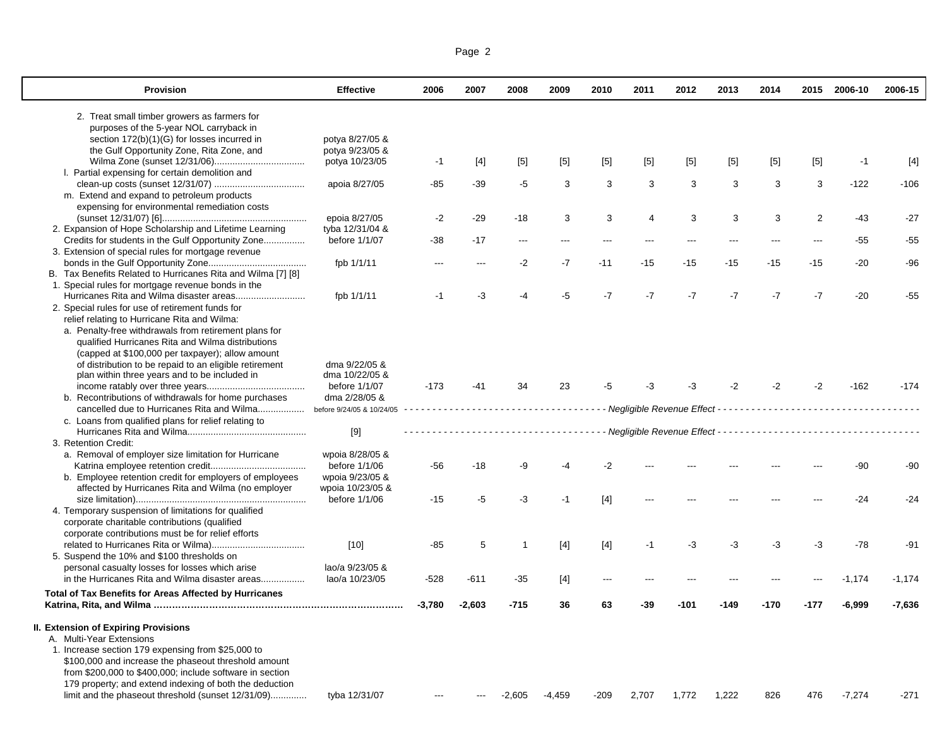| Page 2 |  |  |
|--------|--|--|
|        |  |  |

 $\mathbf{I}$ 

| <b>Provision</b>                                             | <b>Effective</b>          | 2006     | 2007     | 2008     | 2009     | 2010   | 2011           | 2012  | 2013  | 2014  |       | 2015 2006-10 | 2006-15  |
|--------------------------------------------------------------|---------------------------|----------|----------|----------|----------|--------|----------------|-------|-------|-------|-------|--------------|----------|
| 2. Treat small timber growers as farmers for                 |                           |          |          |          |          |        |                |       |       |       |       |              |          |
| purposes of the 5-year NOL carryback in                      |                           |          |          |          |          |        |                |       |       |       |       |              |          |
| section 172(b)(1)(G) for losses incurred in                  | potya 8/27/05 &           |          |          |          |          |        |                |       |       |       |       |              |          |
| the Gulf Opportunity Zone, Rita Zone, and                    | potya 9/23/05 &           |          |          |          |          |        |                |       |       |       |       |              |          |
|                                                              | potya 10/23/05            | $-1$     | [4]      | $[5]$    | $[5]$    | $[5]$  | $[5]$          | $[5]$ | $[5]$ | $[5]$ | $[5]$ | $-1$         | $[4]$    |
| I. Partial expensing for certain demolition and              |                           |          |          |          |          |        |                |       |       |       |       |              |          |
|                                                              | apoia 8/27/05             | -85      | -39      | -5       | 3        | 3      | 3              | 3     | 3     | 3     | 3     | $-122$       | $-106$   |
| m. Extend and expand to petroleum products                   |                           |          |          |          |          |        |                |       |       |       |       |              |          |
| expensing for environmental remediation costs                |                           |          |          |          |          |        |                |       |       |       |       |              |          |
|                                                              | epoia 8/27/05             | $-2$     | $-29$    | $-18$    | 3        | 3      | $\overline{4}$ | 3     | 3     | 3     | 2     | $-43$        | $-27$    |
| 2. Expansion of Hope Scholarship and Lifetime Learning       | tyba 12/31/04 &           |          |          |          |          |        |                |       |       |       |       |              |          |
| Credits for students in the Gulf Opportunity Zone            | before 1/1/07             | -38      | $-17$    | ---      | ---      |        |                |       | ---   |       |       | $-55$        | $-55$    |
| 3. Extension of special rules for mortgage revenue           |                           |          |          |          |          |        |                |       |       |       |       |              |          |
|                                                              | fpb 1/1/11                | ---      | ---      | $-2$     | $-7$     | $-11$  | $-15$          | $-15$ | $-15$ | $-15$ | -15   | $-20$        | -96      |
| B. Tax Benefits Related to Hurricanes Rita and Wilma [7] [8] |                           |          |          |          |          |        |                |       |       |       |       |              |          |
| 1. Special rules for mortgage revenue bonds in the           |                           |          |          |          |          |        |                |       |       |       |       |              |          |
|                                                              | fpb 1/1/11                | -1       | -3       | -4       | $-5$     | $-7$   | $-7$           | $-7$  | $-7$  | $-7$  | $-7$  | $-20$        | $-55$    |
| 2. Special rules for use of retirement funds for             |                           |          |          |          |          |        |                |       |       |       |       |              |          |
| relief relating to Hurricane Rita and Wilma:                 |                           |          |          |          |          |        |                |       |       |       |       |              |          |
| a. Penalty-free withdrawals from retirement plans for        |                           |          |          |          |          |        |                |       |       |       |       |              |          |
| qualified Hurricanes Rita and Wilma distributions            |                           |          |          |          |          |        |                |       |       |       |       |              |          |
| (capped at \$100,000 per taxpayer); allow amount             |                           |          |          |          |          |        |                |       |       |       |       |              |          |
| of distribution to be repaid to an eligible retirement       | dma 9/22/05 &             |          |          |          |          |        |                |       |       |       |       |              |          |
| plan within three years and to be included in                | dma 10/22/05 &            |          |          |          |          |        |                |       |       |       |       |              |          |
|                                                              | before 1/1/07             | $-173$   | $-41$    | 34       | 23       | -5     | -3             | -3    | -2    | -2    | -2    | $-162$       | $-174$   |
| b. Recontributions of withdrawals for home purchases         | dma 2/28/05 &             |          |          |          |          |        |                |       |       |       |       |              |          |
| cancelled due to Hurricanes Rita and Wilma                   | before 9/24/05 & 10/24/05 |          |          |          |          |        |                |       |       |       |       |              |          |
| c. Loans from qualified plans for relief relating to         |                           |          |          |          |          |        |                |       |       |       |       |              |          |
|                                                              | $[9]$                     |          |          |          |          |        |                |       |       |       |       |              |          |
| 3. Retention Credit:                                         |                           |          |          |          |          |        |                |       |       |       |       |              |          |
| a. Removal of employer size limitation for Hurricane         | wpoia 8/28/05 &           |          |          |          |          |        |                |       |       |       |       |              |          |
|                                                              | before 1/1/06             | -56      | $-18$    | -9       | -4       | $-2$   |                |       |       |       |       | -90          | -90      |
| b. Employee retention credit for employers of employees      | wpoia 9/23/05 &           |          |          |          |          |        |                |       |       |       |       |              |          |
| affected by Hurricanes Rita and Wilma (no employer           | wpoia 10/23/05 &          |          |          |          |          |        |                |       |       |       |       |              |          |
|                                                              | before 1/1/06             | $-15$    | -5       | $-3$     | $-1$     | $[4]$  |                |       |       |       |       | $-24$        | $-24$    |
| 4. Temporary suspension of limitations for qualified         |                           |          |          |          |          |        |                |       |       |       |       |              |          |
| corporate charitable contributions (qualified                |                           |          |          |          |          |        |                |       |       |       |       |              |          |
| corporate contributions must be for relief efforts           |                           |          |          |          |          |        |                |       |       |       |       |              |          |
|                                                              | $[10]$                    | -85      | 5        |          | $[4]$    | $[4]$  | $-1$           | -3    | -3    | -3    | -3    | $-78$        | -91      |
| 5. Suspend the 10% and \$100 thresholds on                   |                           |          |          |          |          |        |                |       |       |       |       |              |          |
| personal casualty losses for losses which arise              | lao/a 9/23/05 &           |          |          |          |          |        |                |       |       |       |       |              |          |
| in the Hurricanes Rita and Wilma disaster areas              | lao/a 10/23/05            | $-528$   | $-611$   | $-35$    | $[4]$    | ---    |                |       |       |       |       | $-1,174$     | $-1,174$ |
| Total of Tax Benefits for Areas Affected by Hurricanes       |                           |          |          |          |          |        |                |       |       |       |       |              |          |
|                                                              |                           | $-3,780$ | $-2,603$ | $-715$   | 36       | 63     | -39            | -101  | -149  | -170  | -177  | $-6,999$     | -7,636   |
| <b>II. Extension of Expiring Provisions</b>                  |                           |          |          |          |          |        |                |       |       |       |       |              |          |
| A. Multi-Year Extensions                                     |                           |          |          |          |          |        |                |       |       |       |       |              |          |
| 1. Increase section 179 expensing from \$25,000 to           |                           |          |          |          |          |        |                |       |       |       |       |              |          |
| \$100,000 and increase the phaseout threshold amount         |                           |          |          |          |          |        |                |       |       |       |       |              |          |
| from \$200,000 to \$400,000; include software in section     |                           |          |          |          |          |        |                |       |       |       |       |              |          |
| 179 property; and extend indexing of both the deduction      |                           |          |          |          |          |        |                |       |       |       |       |              |          |
| limit and the phaseout threshold (sunset 12/31/09)           | tyba 12/31/07             | ---      | ---      | $-2,605$ | $-4,459$ | $-209$ | 2,707          | 1,772 | 1,222 | 826   | 476   | $-7,274$     | -271     |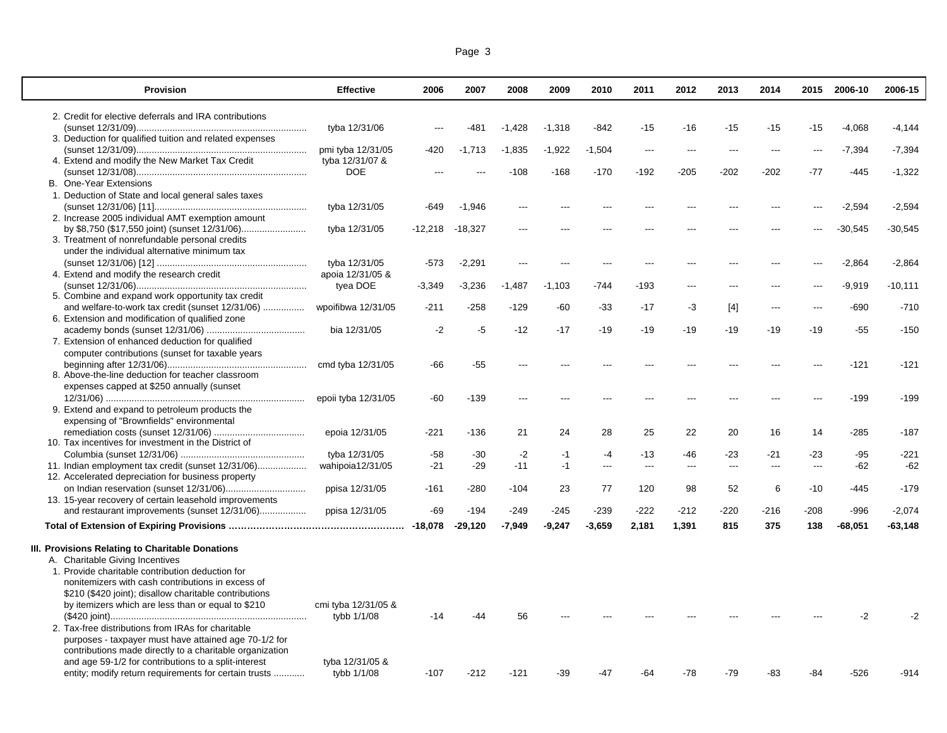| Page 3 |  |  |
|--------|--|--|
|        |  |  |

| 2. Credit for elective deferrals and IRA contributions<br>tyba 12/31/06<br>$-1,428$<br>$-1,318$<br>$-842$<br>$-15$<br>$-16$<br>$-15$<br>$-15$<br>$-15$<br>$-4,068$<br>$-4,144$<br>-481<br>3. Deduction for qualified tuition and related expenses<br>pmi tyba 12/31/05<br>-420<br>$-1.713$<br>$-1,835$<br>$-1,922$<br>$-1,504$<br>$-7,394$<br>$-7,394$<br>$\overline{a}$<br>$---$<br>---<br>$---$<br>$---$<br>4. Extend and modify the New Market Tax Credit<br>tyba 12/31/07 &<br>$-202$<br><b>DOE</b><br>$-108$<br>$-168$<br>$-170$<br>$-192$<br>$-205$<br>$-202$<br>$-77$<br>$-445$<br>$-1,322$<br><b>B.</b> One-Year Extensions<br>1. Deduction of State and local general sales taxes<br>$-2,594$<br>$-2,594$<br>tyba 12/31/05<br>-649<br>$-1,946$<br>2. Increase 2005 individual AMT exemption amount<br>$-30,545$<br>tyba 12/31/05<br>-12,218<br>-18,327<br>$-30,545$<br>3. Treatment of nonrefundable personal credits |
|--------------------------------------------------------------------------------------------------------------------------------------------------------------------------------------------------------------------------------------------------------------------------------------------------------------------------------------------------------------------------------------------------------------------------------------------------------------------------------------------------------------------------------------------------------------------------------------------------------------------------------------------------------------------------------------------------------------------------------------------------------------------------------------------------------------------------------------------------------------------------------------------------------------------------------|
|                                                                                                                                                                                                                                                                                                                                                                                                                                                                                                                                                                                                                                                                                                                                                                                                                                                                                                                                |
|                                                                                                                                                                                                                                                                                                                                                                                                                                                                                                                                                                                                                                                                                                                                                                                                                                                                                                                                |
|                                                                                                                                                                                                                                                                                                                                                                                                                                                                                                                                                                                                                                                                                                                                                                                                                                                                                                                                |
|                                                                                                                                                                                                                                                                                                                                                                                                                                                                                                                                                                                                                                                                                                                                                                                                                                                                                                                                |
|                                                                                                                                                                                                                                                                                                                                                                                                                                                                                                                                                                                                                                                                                                                                                                                                                                                                                                                                |
|                                                                                                                                                                                                                                                                                                                                                                                                                                                                                                                                                                                                                                                                                                                                                                                                                                                                                                                                |
|                                                                                                                                                                                                                                                                                                                                                                                                                                                                                                                                                                                                                                                                                                                                                                                                                                                                                                                                |
|                                                                                                                                                                                                                                                                                                                                                                                                                                                                                                                                                                                                                                                                                                                                                                                                                                                                                                                                |
|                                                                                                                                                                                                                                                                                                                                                                                                                                                                                                                                                                                                                                                                                                                                                                                                                                                                                                                                |
|                                                                                                                                                                                                                                                                                                                                                                                                                                                                                                                                                                                                                                                                                                                                                                                                                                                                                                                                |
|                                                                                                                                                                                                                                                                                                                                                                                                                                                                                                                                                                                                                                                                                                                                                                                                                                                                                                                                |
| under the individual alternative minimum tax                                                                                                                                                                                                                                                                                                                                                                                                                                                                                                                                                                                                                                                                                                                                                                                                                                                                                   |
| $-573$<br>$-2,291$<br>$-2,864$<br>$-2,864$<br>tyba 12/31/05<br>$\overline{a}$<br>$\overline{a}$<br>$---$<br>$- -$<br>$- - -$<br>$---$<br>---                                                                                                                                                                                                                                                                                                                                                                                                                                                                                                                                                                                                                                                                                                                                                                                   |
| apoia 12/31/05 &<br>4. Extend and modify the research credit                                                                                                                                                                                                                                                                                                                                                                                                                                                                                                                                                                                                                                                                                                                                                                                                                                                                   |
| tyea DOE<br>$-3,236$<br>$-193$<br>$-9,919$<br>$-10,111$<br>$-3,349$<br>$-1,487$<br>$-1,103$<br>-744                                                                                                                                                                                                                                                                                                                                                                                                                                                                                                                                                                                                                                                                                                                                                                                                                            |
| 5. Combine and expand work opportunity tax credit                                                                                                                                                                                                                                                                                                                                                                                                                                                                                                                                                                                                                                                                                                                                                                                                                                                                              |
| and welfare-to-work tax credit (sunset 12/31/06)<br>wpoifibwa 12/31/05<br>$-211$<br>$-258$<br>$-129$<br>$-60$<br>$-33$<br>$-17$<br>$-690$<br>$-710$<br>-3<br>[4]<br>$---$<br>---                                                                                                                                                                                                                                                                                                                                                                                                                                                                                                                                                                                                                                                                                                                                               |
| 6. Extension and modification of qualified zone                                                                                                                                                                                                                                                                                                                                                                                                                                                                                                                                                                                                                                                                                                                                                                                                                                                                                |
| bia 12/31/05<br>$-2$<br>$-5$<br>$-12$<br>$-17$<br>$-19$<br>$-19$<br>$-19$<br>$-19$<br>$-19$<br>$-19$<br>$-55$<br>$-150$                                                                                                                                                                                                                                                                                                                                                                                                                                                                                                                                                                                                                                                                                                                                                                                                        |
| 7. Extension of enhanced deduction for qualified                                                                                                                                                                                                                                                                                                                                                                                                                                                                                                                                                                                                                                                                                                                                                                                                                                                                               |
| computer contributions (sunset for taxable years                                                                                                                                                                                                                                                                                                                                                                                                                                                                                                                                                                                                                                                                                                                                                                                                                                                                               |
| $-121$<br>cmd tyba 12/31/05<br>$-66$<br>$-55$<br>$-121$                                                                                                                                                                                                                                                                                                                                                                                                                                                                                                                                                                                                                                                                                                                                                                                                                                                                        |
| 8. Above-the-line deduction for teacher classroom                                                                                                                                                                                                                                                                                                                                                                                                                                                                                                                                                                                                                                                                                                                                                                                                                                                                              |
| expenses capped at \$250 annually (sunset                                                                                                                                                                                                                                                                                                                                                                                                                                                                                                                                                                                                                                                                                                                                                                                                                                                                                      |
| $-139$<br>$-199$<br>epoii tyba 12/31/05<br>-60<br>$-199$<br>$---$                                                                                                                                                                                                                                                                                                                                                                                                                                                                                                                                                                                                                                                                                                                                                                                                                                                              |
| 9. Extend and expand to petroleum products the                                                                                                                                                                                                                                                                                                                                                                                                                                                                                                                                                                                                                                                                                                                                                                                                                                                                                 |
| expensing of "Brownfields" environmental                                                                                                                                                                                                                                                                                                                                                                                                                                                                                                                                                                                                                                                                                                                                                                                                                                                                                       |
| epoia 12/31/05<br>$-221$<br>$-136$<br>21<br>24<br>28<br>25<br>22<br>20<br>16<br>14<br>$-285$<br>$-187$                                                                                                                                                                                                                                                                                                                                                                                                                                                                                                                                                                                                                                                                                                                                                                                                                         |
| 10. Tax incentives for investment in the District of                                                                                                                                                                                                                                                                                                                                                                                                                                                                                                                                                                                                                                                                                                                                                                                                                                                                           |
| $-30$<br>$-2$<br>$-95$<br>$-221$<br>tyba 12/31/05<br>$-58$<br>$-1$<br>$-4$<br>$-13$<br>-46<br>-23<br>-21<br>-23                                                                                                                                                                                                                                                                                                                                                                                                                                                                                                                                                                                                                                                                                                                                                                                                                |
| $-29$<br>11. Indian employment tax credit (sunset 12/31/06)<br>wahipoia12/31/05<br>$-21$<br>$-11$<br>$-1$<br>$-62$<br>$-62$<br>---<br>$\hspace{0.05cm} \ldots$<br>$---$<br>$---$<br>$---$<br>$---$                                                                                                                                                                                                                                                                                                                                                                                                                                                                                                                                                                                                                                                                                                                             |
| 12. Accelerated depreciation for business property                                                                                                                                                                                                                                                                                                                                                                                                                                                                                                                                                                                                                                                                                                                                                                                                                                                                             |
| 6<br>ppisa 12/31/05<br>$-280$<br>23<br>77<br>120<br>98<br>52<br>$-445$<br>$-179$<br>-161<br>-104<br>$-10$                                                                                                                                                                                                                                                                                                                                                                                                                                                                                                                                                                                                                                                                                                                                                                                                                      |
| 13. 15-year recovery of certain leasehold improvements                                                                                                                                                                                                                                                                                                                                                                                                                                                                                                                                                                                                                                                                                                                                                                                                                                                                         |
| and restaurant improvements (sunset 12/31/06)<br>ppisa 12/31/05<br>$-194$<br>$-245$<br>$-239$<br>$-222$<br>$-212$<br>$-220$<br>$-216$<br>$-208$<br>$-996$<br>$-2,074$<br>-69<br>$-249$                                                                                                                                                                                                                                                                                                                                                                                                                                                                                                                                                                                                                                                                                                                                         |
| $-29,120$<br>$-7,949$<br>$-9,247$<br>$-3,659$<br>2,181<br>1,391<br>815<br>375<br>138<br>$-68,051$<br>$-63,148$                                                                                                                                                                                                                                                                                                                                                                                                                                                                                                                                                                                                                                                                                                                                                                                                                 |
| III. Provisions Relating to Charitable Donations                                                                                                                                                                                                                                                                                                                                                                                                                                                                                                                                                                                                                                                                                                                                                                                                                                                                               |
| A. Charitable Giving Incentives                                                                                                                                                                                                                                                                                                                                                                                                                                                                                                                                                                                                                                                                                                                                                                                                                                                                                                |
| 1. Provide charitable contribution deduction for                                                                                                                                                                                                                                                                                                                                                                                                                                                                                                                                                                                                                                                                                                                                                                                                                                                                               |
| nonitemizers with cash contributions in excess of                                                                                                                                                                                                                                                                                                                                                                                                                                                                                                                                                                                                                                                                                                                                                                                                                                                                              |
| \$210 (\$420 joint); disallow charitable contributions                                                                                                                                                                                                                                                                                                                                                                                                                                                                                                                                                                                                                                                                                                                                                                                                                                                                         |
| by itemizers which are less than or equal to \$210<br>cmi tyba 12/31/05 &                                                                                                                                                                                                                                                                                                                                                                                                                                                                                                                                                                                                                                                                                                                                                                                                                                                      |
| $-2$<br>tybb 1/1/08<br>56<br>$-2$<br>$-14$<br>-44                                                                                                                                                                                                                                                                                                                                                                                                                                                                                                                                                                                                                                                                                                                                                                                                                                                                              |
| 2. Tax-free distributions from IRAs for charitable                                                                                                                                                                                                                                                                                                                                                                                                                                                                                                                                                                                                                                                                                                                                                                                                                                                                             |
| purposes - taxpayer must have attained age 70-1/2 for                                                                                                                                                                                                                                                                                                                                                                                                                                                                                                                                                                                                                                                                                                                                                                                                                                                                          |
| contributions made directly to a charitable organization                                                                                                                                                                                                                                                                                                                                                                                                                                                                                                                                                                                                                                                                                                                                                                                                                                                                       |
| and age 59-1/2 for contributions to a split-interest<br>tyba 12/31/05 &                                                                                                                                                                                                                                                                                                                                                                                                                                                                                                                                                                                                                                                                                                                                                                                                                                                        |
| entity; modify return requirements for certain trusts<br>tybb 1/1/08<br>$-107$<br>-212<br>$-121$<br>-39<br>$-78$<br>$-79$<br>-83<br>-84<br>$-526$<br>-914<br>-47<br>-64                                                                                                                                                                                                                                                                                                                                                                                                                                                                                                                                                                                                                                                                                                                                                        |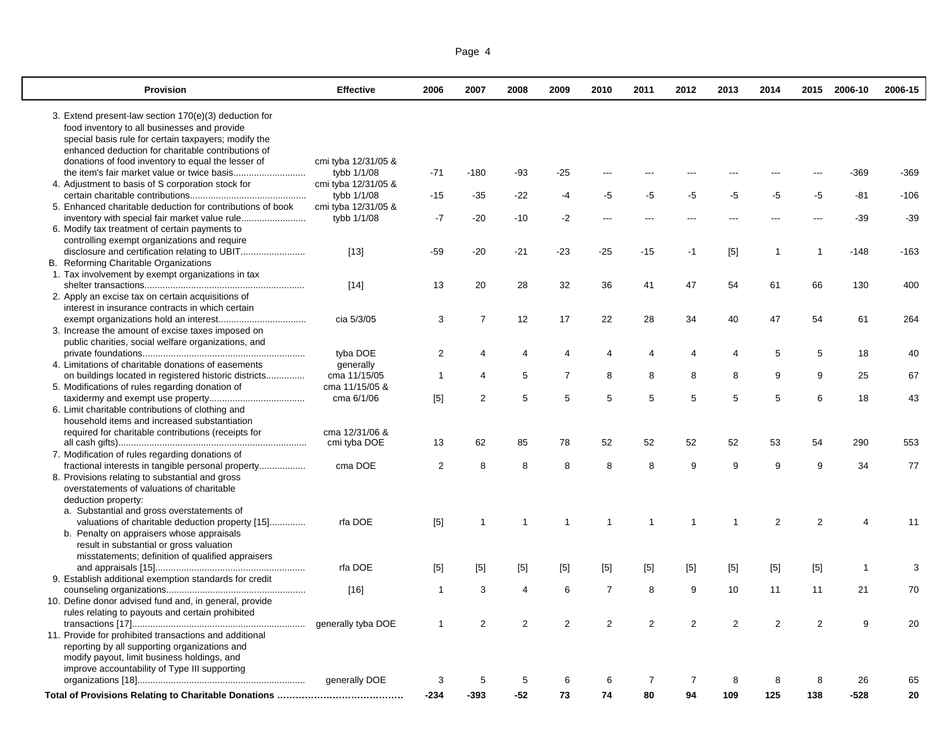| <b>Provision</b>                                           | <b>Effective</b>    | 2006           | 2007                    | 2008           | 2009           | 2010           | 2011           | 2012           | 2013           | 2014           | 2015           | 2006-10        | 2006-15 |
|------------------------------------------------------------|---------------------|----------------|-------------------------|----------------|----------------|----------------|----------------|----------------|----------------|----------------|----------------|----------------|---------|
| 3. Extend present-law section 170(e)(3) deduction for      |                     |                |                         |                |                |                |                |                |                |                |                |                |         |
| food inventory to all businesses and provide               |                     |                |                         |                |                |                |                |                |                |                |                |                |         |
| special basis rule for certain taxpayers; modify the       |                     |                |                         |                |                |                |                |                |                |                |                |                |         |
| enhanced deduction for charitable contributions of         |                     |                |                         |                |                |                |                |                |                |                |                |                |         |
| donations of food inventory to equal the lesser of         | cmi tyba 12/31/05 & |                |                         |                |                |                |                |                |                |                |                |                |         |
|                                                            | tybb 1/1/08         | $-71$          | $-180$                  | -93            | $-25$          |                |                |                |                |                |                | $-369$         | $-369$  |
| 4. Adjustment to basis of S corporation stock for          | cmi tyba 12/31/05 & |                |                         |                |                |                |                |                |                |                |                |                |         |
|                                                            | tybb 1/1/08         | $-15$          | $-35$                   | $-22$          | $-4$           | -5             | -5             | $-5$           | -5             | $-5$           | $-5$           | $-81$          | $-106$  |
| 5. Enhanced charitable deduction for contributions of book | cmi tyba 12/31/05 & |                |                         |                |                |                |                |                |                |                |                |                |         |
|                                                            | tybb 1/1/08         | $-7$           | $-20$                   | $-10$          | $-2$           | ---            |                |                | $- -$          |                |                | $-39$          | $-39$   |
| 6. Modify tax treatment of certain payments to             |                     |                |                         |                |                |                |                |                |                |                |                |                |         |
| controlling exempt organizations and require               |                     |                |                         |                |                |                |                |                |                |                |                |                |         |
|                                                            | $[13]$              | $-59$          | $-20$                   | $-21$          | $-23$          | $-25$          | $-15$          | $-1$           | [5]            | $\overline{1}$ | $\mathbf{1}$   | $-148$         | $-163$  |
| B. Reforming Charitable Organizations                      |                     |                |                         |                |                |                |                |                |                |                |                |                |         |
| 1. Tax involvement by exempt organizations in tax          |                     |                |                         |                |                |                |                |                |                |                |                |                |         |
|                                                            | $[14]$              | 13             | 20                      | 28             | 32             | 36             | 41             | 47             | 54             | 61             | 66             | 130            | 400     |
| 2. Apply an excise tax on certain acquisitions of          |                     |                |                         |                |                |                |                |                |                |                |                |                |         |
| interest in insurance contracts in which certain           |                     |                |                         |                |                |                |                |                |                |                |                |                |         |
|                                                            | cia 5/3/05          | 3              | $\overline{7}$          | 12             | 17             | 22             | 28             | 34             | 40             | 47             | 54             | 61             | 264     |
| 3. Increase the amount of excise taxes imposed on          |                     |                |                         |                |                |                |                |                |                |                |                |                |         |
| public charities, social welfare organizations, and        | tyba DOE            | $\overline{2}$ | $\overline{4}$          | $\overline{4}$ | 4              | $\overline{4}$ | $\overline{4}$ | $\overline{4}$ | $\overline{4}$ | 5              | 5              | 18             | 40      |
| 4. Limitations of charitable donations of easements        | generally           |                |                         |                |                |                |                |                |                |                |                |                |         |
| on buildings located in registered historic districts      | cma 11/15/05        | $\overline{1}$ | 4                       | 5              | $\overline{7}$ | 8              | 8              | 8              | 8              | 9              | 9              | 25             | 67      |
| 5. Modifications of rules regarding donation of            | cma 11/15/05 &      |                |                         |                |                |                |                |                |                |                |                |                |         |
|                                                            | cma 6/1/06          | $[5]$          | $\overline{\mathbf{c}}$ | 5              | 5              | 5              | 5              | 5              | 5              | 5              | 6              | 18             | 43      |
| 6. Limit charitable contributions of clothing and          |                     |                |                         |                |                |                |                |                |                |                |                |                |         |
| household items and increased substantiation               |                     |                |                         |                |                |                |                |                |                |                |                |                |         |
| required for charitable contributions (receipts for        | cma 12/31/06 &      |                |                         |                |                |                |                |                |                |                |                |                |         |
|                                                            | cmi tyba DOE        | 13             | 62                      | 85             | 78             | 52             | 52             | 52             | 52             | 53             | 54             | 290            | 553     |
| 7. Modification of rules regarding donations of            |                     |                |                         |                |                |                |                |                |                |                |                |                |         |
|                                                            | cma DOE             | 2              | 8                       | 8              | 8              | 8              | 8              | 9              | 9              | 9              | 9              | 34             | 77      |
| 8. Provisions relating to substantial and gross            |                     |                |                         |                |                |                |                |                |                |                |                |                |         |
| overstatements of valuations of charitable                 |                     |                |                         |                |                |                |                |                |                |                |                |                |         |
| deduction property:                                        |                     |                |                         |                |                |                |                |                |                |                |                |                |         |
| a. Substantial and gross overstatements of                 |                     |                |                         |                |                |                |                |                |                |                |                |                |         |
| valuations of charitable deduction property [15]           | rfa DOE             | $[5]$          | $\mathbf 1$             | -1             | 1              | -1             | $\overline{1}$ | $\mathbf 1$    | $\mathbf 1$    | $\overline{2}$ | 2              | $\overline{4}$ | 11      |
| b. Penalty on appraisers whose appraisals                  |                     |                |                         |                |                |                |                |                |                |                |                |                |         |
| result in substantial or gross valuation                   |                     |                |                         |                |                |                |                |                |                |                |                |                |         |
| misstatements; definition of qualified appraisers          |                     |                |                         |                |                |                |                |                |                |                |                |                |         |
|                                                            | rfa DOE             | $[5]$          | $[5]$                   | $[5]$          | $[5]$          | $[5]$          | $[5]$          | $[5]$          | $[5]$          | $[5]$          | $[5]$          | $\mathbf{1}$   | 3       |
| 9. Establish additional exemption standards for credit     |                     |                |                         |                |                |                |                |                |                |                |                |                |         |
|                                                            | $[16]$              | $\overline{1}$ | 3                       | 4              | 6              | $\overline{7}$ | 8              | 9              | 10             | 11             | 11             | 21             | 70      |
| 10. Define donor advised fund and, in general, provide     |                     |                |                         |                |                |                |                |                |                |                |                |                |         |
| rules relating to payouts and certain prohibited           |                     |                |                         |                |                |                |                |                |                |                |                |                |         |
|                                                            | generally tyba DOE  | -1             | $\overline{2}$          | $\overline{2}$ | $\overline{2}$ | $\overline{2}$ | $\overline{2}$ | 2              | $\overline{2}$ | $\overline{2}$ | $\overline{2}$ | 9              | 20      |
| 11. Provide for prohibited transactions and additional     |                     |                |                         |                |                |                |                |                |                |                |                |                |         |
| reporting by all supporting organizations and              |                     |                |                         |                |                |                |                |                |                |                |                |                |         |
| modify payout, limit business holdings, and                |                     |                |                         |                |                |                |                |                |                |                |                |                |         |
| improve accountability of Type III supporting              | generally DOE       | 3              | 5                       | 5              | 6              |                | 7              | $\overline{7}$ |                |                |                |                | 65      |
|                                                            |                     |                |                         |                |                |                |                |                |                |                |                |                |         |

**Total of Provisions Relating to Charitable Donations …………………………………… -234 -393 -52 73 74 80 94 109 125 138 -528 20**

|--|--|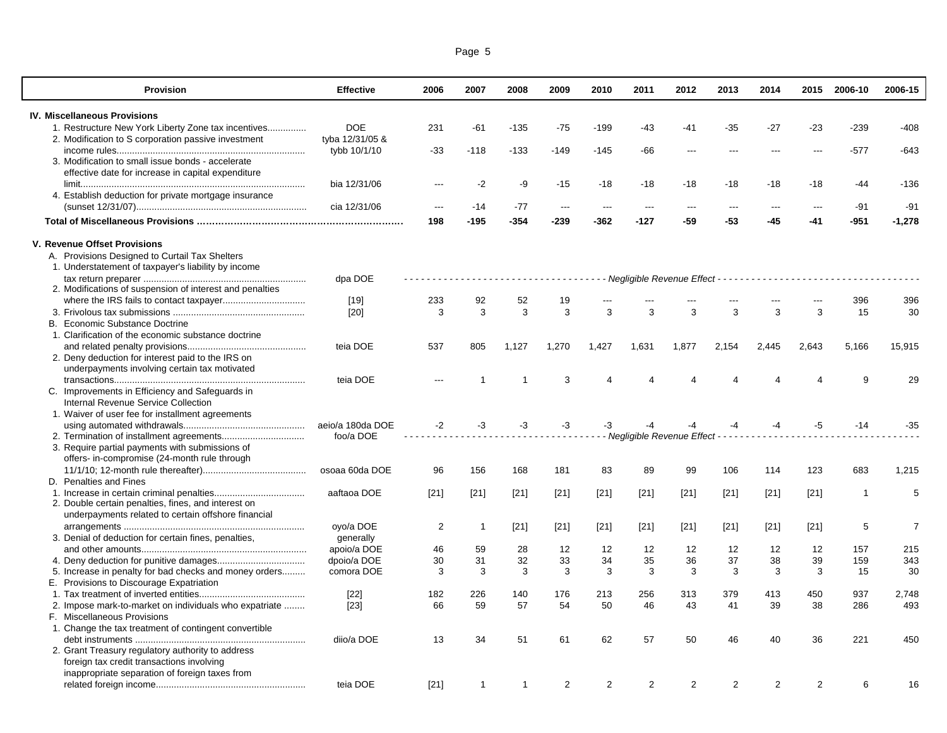| Page 5 |  |  |
|--------|--|--|
|        |  |  |

| <b>Provision</b>                                         | <b>Effective</b> | 2006                                 | 2007           | 2008         | 2009                     | 2010           | 2011                                              | 2012   | 2013   | 2014   | 2015           | 2006-10      | 2006-15        |
|----------------------------------------------------------|------------------|--------------------------------------|----------------|--------------|--------------------------|----------------|---------------------------------------------------|--------|--------|--------|----------------|--------------|----------------|
| <b>IV. Miscellaneous Provisions</b>                      |                  |                                      |                |              |                          |                |                                                   |        |        |        |                |              |                |
| 1. Restructure New York Liberty Zone tax incentives      | <b>DOE</b>       | 231                                  | $-61$          | $-135$       | $-75$                    | $-199$         | $-43$                                             | $-41$  | $-35$  | $-27$  | -23            | $-239$       | $-408$         |
| 2. Modification to S corporation passive investment      | tyba 12/31/05 &  |                                      |                |              |                          |                |                                                   |        |        |        |                |              |                |
|                                                          | tybb 10/1/10     | $-33$                                | $-118$         | $-133$       | $-149$                   | $-145$         | $-66$                                             | $\sim$ | $-$ -- | $-$ -- | $\sim$         | $-577$       | $-643$         |
| 3. Modification to small issue bonds - accelerate        |                  |                                      |                |              |                          |                |                                                   |        |        |        |                |              |                |
| effective date for increase in capital expenditure       |                  |                                      |                |              |                          |                |                                                   |        |        |        |                |              |                |
|                                                          | bia 12/31/06     | $\overline{a}$                       | $-2$           | -9           |                          |                | $-18$                                             | -18    |        |        | -18            | -44          | $-136$         |
|                                                          |                  |                                      |                |              | $-15$                    | $-18$          |                                                   |        | $-18$  | -18    |                |              |                |
| 4. Establish deduction for private mortgage insurance    |                  |                                      |                |              |                          |                |                                                   |        |        |        |                |              |                |
|                                                          | cia 12/31/06     | $\overline{a}$                       | -14            | $-77$        | $\hspace{0.05cm} \cdots$ | $\overline{a}$ | $\overline{a}$                                    | $---$  | $---$  | $---$  | $---$          | $-91$        | $-91$          |
|                                                          |                  | 198                                  | $-195$         | $-354$       | $-239$                   | $-362$         | $-127$                                            | -59    | $-53$  | -45    | -41            | $-951$       | $-1,278$       |
| V. Revenue Offset Provisions                             |                  |                                      |                |              |                          |                |                                                   |        |        |        |                |              |                |
| A. Provisions Designed to Curtail Tax Shelters           |                  |                                      |                |              |                          |                |                                                   |        |        |        |                |              |                |
| 1. Understatement of taxpayer's liability by income      |                  |                                      |                |              |                          |                |                                                   |        |        |        |                |              |                |
|                                                          | dpa DOE          | ------------------------------------ |                |              |                          |                |                                                   |        |        |        |                |              |                |
| 2. Modifications of suspension of interest and penalties |                  |                                      |                |              |                          |                |                                                   |        |        |        |                |              |                |
|                                                          | $[19]$           | 233                                  | 92             | 52           | 19                       |                |                                                   |        |        |        |                | 396          | 396            |
|                                                          | [20]             | 3                                    | 3              | 3            | 3                        | 3              | 3                                                 | 3      | 3      | 3      | 3              | 15           | 30             |
| B. Economic Substance Doctrine                           |                  |                                      |                |              |                          |                |                                                   |        |        |        |                |              |                |
| 1. Clarification of the economic substance doctrine      |                  |                                      |                |              |                          |                |                                                   |        |        |        |                |              |                |
|                                                          | teia DOE         | 537                                  | 805            | 1,127        | 1,270                    | 1,427          | 1,631                                             | 1,877  | 2,154  | 2,445  | 2,643          | 5,166        | 15,915         |
| 2. Deny deduction for interest paid to the IRS on        |                  |                                      |                |              |                          |                |                                                   |        |        |        |                |              |                |
| underpayments involving certain tax motivated            |                  |                                      |                |              |                          |                |                                                   |        |        |        |                |              |                |
|                                                          | teia DOE         | ---                                  |                |              | 3                        | 4              |                                                   |        |        |        | 4              | 9            | 29             |
| C. Improvements in Efficiency and Safeguards in          |                  |                                      |                |              |                          |                |                                                   |        |        |        |                |              |                |
|                                                          |                  |                                      |                |              |                          |                |                                                   |        |        |        |                |              |                |
| Internal Revenue Service Collection                      |                  |                                      |                |              |                          |                |                                                   |        |        |        |                |              |                |
| 1. Waiver of user fee for installment agreements         |                  |                                      |                |              |                          |                |                                                   |        |        |        |                |              |                |
|                                                          | aeio/a 180da DOE | $-2$                                 | $-3$           | $-3$         | $-3$                     | -3             |                                                   |        | $-4$   | $-4$   | $-5$           | $-14$        | $-35$          |
|                                                          | foo/a DOE        |                                      |                |              |                          |                | - Negligible Revenue Effect - - - - - - - - - - - |        |        |        |                |              |                |
| 3. Require partial payments with submissions of          |                  |                                      |                |              |                          |                |                                                   |        |        |        |                |              |                |
| offers- in-compromise (24-month rule through             |                  |                                      |                |              |                          |                |                                                   |        |        |        |                |              |                |
|                                                          | osoaa 60da DOE   | 96                                   | 156            | 168          | 181                      | 83             | 89                                                | 99     | 106    | 114    | 123            | 683          | 1,215          |
| D. Penalties and Fines                                   |                  |                                      |                |              |                          |                |                                                   |        |        |        |                |              |                |
|                                                          | aaftaoa DOE      | $[21]$                               | $[21]$         | $[21]$       | $[21]$                   | $[21]$         | $[21]$                                            | $[21]$ | $[21]$ | $[21]$ | $[21]$         | $\mathbf{1}$ | 5              |
| 2. Double certain penalties, fines, and interest on      |                  |                                      |                |              |                          |                |                                                   |        |        |        |                |              |                |
| underpayments related to certain offshore financial      |                  |                                      |                |              |                          |                |                                                   |        |        |        |                |              |                |
|                                                          | oyo/a DOE        | 2                                    | $\overline{1}$ | $[21]$       | $[21]$                   | $[21]$         | $[21]$                                            | $[21]$ | $[21]$ | $[21]$ | $[21]$         | 5            | $\overline{7}$ |
| 3. Denial of deduction for certain fines, penalties,     | generally        |                                      |                |              |                          |                |                                                   |        |        |        |                |              |                |
|                                                          | apoio/a DOE      | 46                                   | 59             | 28           | 12                       | 12             | 12                                                | 12     | 12     | 12     | 12             | 157          | 215            |
|                                                          | dpoio/a DOE      | 30                                   | 31             | 32           | 33                       | 34             | 35                                                | 36     | 37     | 38     | 39             | 159          | 343            |
| 5. Increase in penalty for bad checks and money orders   | comora DOE       | 3                                    | 3              | 3            | 3                        | 3              | 3                                                 | 3      | 3      | 3      | 3              | 15           | 30             |
| E. Provisions to Discourage Expatriation                 |                  |                                      |                |              |                          |                |                                                   |        |        |        |                |              |                |
|                                                          | $[22]$           | 182                                  | 226            | 140          | 176                      | 213            | 256                                               | 313    | 379    | 413    | 450            | 937          | 2,748          |
| 2. Impose mark-to-market on individuals who expatriate   | $[23]$           | 66                                   | 59             | 57           | 54                       | 50             | 46                                                | 43     | 41     | 39     | 38             | 286          | 493            |
| F. Miscellaneous Provisions                              |                  |                                      |                |              |                          |                |                                                   |        |        |        |                |              |                |
| 1. Change the tax treatment of contingent convertible    |                  |                                      |                |              |                          |                |                                                   |        |        |        |                |              |                |
|                                                          | diio/a DOE       | 13                                   | 34             | 51           | 61                       | 62             | 57                                                | 50     | 46     | 40     | 36             | 221          | 450            |
| 2. Grant Treasury regulatory authority to address        |                  |                                      |                |              |                          |                |                                                   |        |        |        |                |              |                |
| foreign tax credit transactions involving                |                  |                                      |                |              |                          |                |                                                   |        |        |        |                |              |                |
| inappropriate separation of foreign taxes from           |                  |                                      |                |              |                          |                |                                                   |        |        |        |                |              |                |
|                                                          | teia DOE         | $[21]$                               | $\mathbf 1$    | $\mathbf{1}$ | 2                        | $\overline{2}$ | 2                                                 | 2      | 2      | 2      | $\overline{2}$ | 6            | 16             |
|                                                          |                  |                                      |                |              |                          |                |                                                   |        |        |        |                |              |                |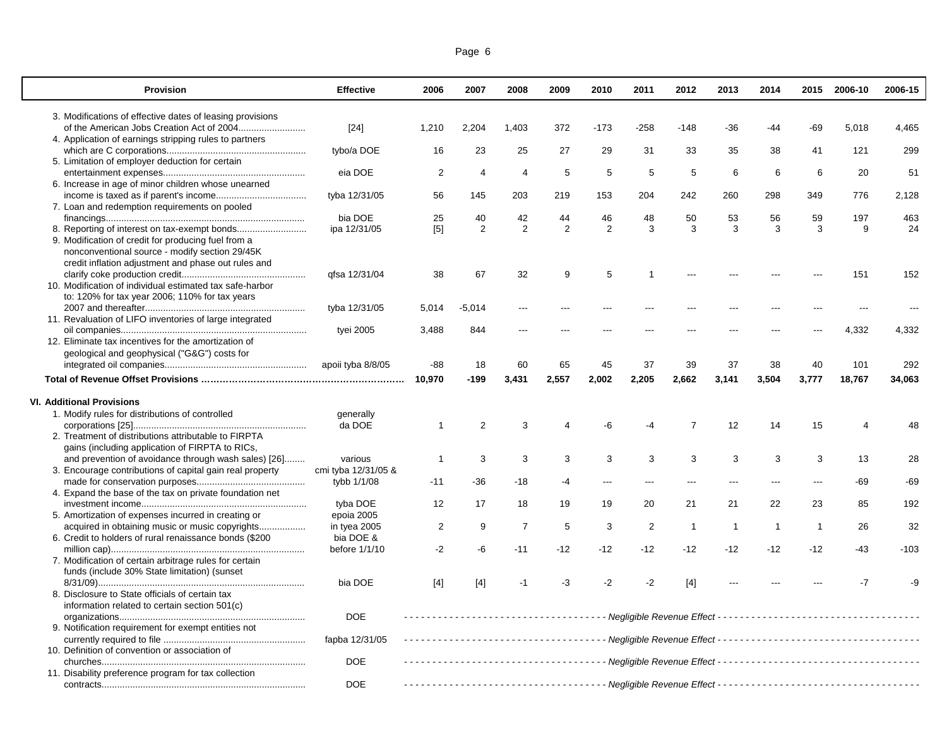| Page 6 |  |
|--------|--|
|        |  |

 $\overline{\mathbb{L}}$ 

| <b>Provision</b>                                                                                      | <b>Effective</b>          | 2006           | 2007                  | 2008           | 2009            | 2010   | 2011   | 2012           | 2013           | 2014         | 2015         | 2006-10 | 2006-15 |
|-------------------------------------------------------------------------------------------------------|---------------------------|----------------|-----------------------|----------------|-----------------|--------|--------|----------------|----------------|--------------|--------------|---------|---------|
| 3. Modifications of effective dates of leasing provisions                                             |                           |                |                       |                |                 |        |        |                |                |              |              |         |         |
|                                                                                                       | $[24]$                    | 1,210          | 2,204                 | 1,403          | 372             | $-173$ | $-258$ | $-148$         | -36            | -44          | $-69$        | 5,018   | 4,465   |
| 4. Application of earnings stripping rules to partners                                                |                           |                |                       |                |                 |        |        |                |                |              |              |         |         |
|                                                                                                       | tybo/a DOE                | 16             | 23                    | 25             | 27              | 29     | 31     | 33             | 35             | 38           | 41           | 121     | 299     |
| 5. Limitation of employer deduction for certain                                                       |                           |                |                       |                |                 |        |        |                |                |              |              |         |         |
|                                                                                                       | eia DOE                   | $\overline{2}$ | $\boldsymbol{\Delta}$ | $\overline{4}$ | $5\phantom{.0}$ | 5      | 5      | 5              | 6              | 6            | 6            | 20      | 51      |
| 6. Increase in age of minor children whose unearned                                                   | tyba 12/31/05             | 56             | 145                   | 203            | 219             | 153    | 204    | 242            | 260            | 298          | 349          | 776     | 2,128   |
| 7. Loan and redemption requirements on pooled                                                         |                           |                |                       |                |                 |        |        |                |                |              |              |         |         |
|                                                                                                       | bia DOE                   | 25             | 40                    | 42             | 44              | 46     | 48     | 50             | 53             | 56           | 59           | 197     | 463     |
| 8. Reporting of interest on tax-exempt bonds                                                          | ipa 12/31/05              | [5]            | 2                     | 2              | 2               | 2      | 3      | 3              | 3              | 3            | 3            | 9       | 24      |
| 9. Modification of credit for producing fuel from a                                                   |                           |                |                       |                |                 |        |        |                |                |              |              |         |         |
| nonconventional source - modify section 29/45K<br>credit inflation adjustment and phase out rules and |                           |                |                       |                |                 |        |        |                |                |              |              |         |         |
|                                                                                                       | qfsa 12/31/04             | 38             | 67                    | 32             | 9               | 5      |        |                |                |              |              | 151     | 152     |
| 10. Modification of individual estimated tax safe-harbor                                              |                           |                |                       |                |                 |        |        |                |                |              |              |         |         |
| to: 120% for tax year 2006; 110% for tax years                                                        |                           |                |                       |                |                 |        |        |                |                |              |              |         |         |
|                                                                                                       | tyba 12/31/05             | 5,014          | -5,014                |                |                 |        |        |                |                |              |              |         |         |
| 11. Revaluation of LIFO inventories of large integrated                                               |                           |                |                       |                |                 |        |        |                |                |              |              |         |         |
|                                                                                                       | tyei 2005                 | 3,488          | 844                   |                |                 |        |        |                |                |              |              | 4,332   | 4,332   |
| 12. Eliminate tax incentives for the amortization of                                                  |                           |                |                       |                |                 |        |        |                |                |              |              |         |         |
| geological and geophysical ("G&G") costs for                                                          |                           |                |                       |                |                 |        |        |                |                |              |              |         |         |
|                                                                                                       | apoii tyba 8/8/05         | -88            | 18                    | 60             | 65              | 45     | 37     | 39             | 37             | 38           | 40           | 101     | 292     |
|                                                                                                       |                           | 10,970         | $-199$                | 3,431          | 2,557           | 2,002  | 2,205  | 2,662          | 3,141          | 3,504        | 3,777        | 18,767  | 34,063  |
| <b>VI. Additional Provisions</b>                                                                      |                           |                |                       |                |                 |        |        |                |                |              |              |         |         |
| 1. Modify rules for distributions of controlled                                                       | generally                 |                |                       |                |                 |        |        |                |                |              |              |         |         |
|                                                                                                       | da DOE                    | $\overline{1}$ | 2                     | 3              | 4               | -6     | -4     | $\overline{7}$ | 12             | 14           | 15           | 4       | 48      |
| 2. Treatment of distributions attributable to FIRPTA                                                  |                           |                |                       |                |                 |        |        |                |                |              |              |         |         |
| gains (including application of FIRPTA to RICs,                                                       |                           |                |                       |                |                 |        |        |                |                |              |              |         |         |
| and prevention of avoidance through wash sales) [26]                                                  | various                   | $\mathbf{1}$   | 3                     | 3              | 3               | 3      | 3      | 3              | 3              | 3            | 3            | 13      | 28      |
| 3. Encourage contributions of capital gain real property                                              | cmi tyba 12/31/05 &       |                |                       |                |                 |        |        |                |                |              |              |         |         |
|                                                                                                       | tybb 1/1/08               | $-11$          | $-36$                 | -18            | $-4$            | $---$  |        |                | $---$          |              |              | $-69$   | $-69$   |
| 4. Expand the base of the tax on private foundation net                                               |                           |                |                       |                |                 |        |        |                |                |              |              |         |         |
|                                                                                                       | tyba DOE                  | 12             | 17                    | 18             | 19              | 19     | 20     | 21             | 21             | 22           | 23           | 85      | 192     |
| 5. Amortization of expenses incurred in creating or                                                   | epoia 2005                |                |                       |                |                 |        |        |                |                |              |              |         |         |
| 6. Credit to holders of rural renaissance bonds (\$200                                                | in tyea 2005<br>bia DOE & | 2              | 9                     | $\overline{7}$ | 5               | 3      | 2      | $\mathbf{1}$   | $\overline{1}$ | $\mathbf{1}$ | $\mathbf{1}$ | 26      | 32      |
|                                                                                                       | before 1/1/10             | $-2$           | -6                    | $-11$          | $-12$           | $-12$  | -12    | -12            | $-12$          | $-12$        | $-12$        | -43     | $-103$  |
| 7. Modification of certain arbitrage rules for certain                                                |                           |                |                       |                |                 |        |        |                |                |              |              |         |         |
| funds (include 30% State limitation) (sunset                                                          |                           |                |                       |                |                 |        |        |                |                |              |              |         |         |
|                                                                                                       | bia DOE                   | $[4]$          | $[4]$                 | $-1$           | -3              | $-2$   | $-2$   | $[4]$          |                |              |              | $-7$    | -9      |
| 8. Disclosure to State officials of certain tax                                                       |                           |                |                       |                |                 |        |        |                |                |              |              |         |         |
| information related to certain section 501(c)                                                         |                           |                |                       |                |                 |        |        |                |                |              |              |         |         |
|                                                                                                       | <b>DOE</b>                |                |                       |                |                 |        |        |                |                |              |              |         |         |
| 9. Notification requirement for exempt entities not                                                   |                           |                |                       |                |                 |        |        |                |                |              |              |         |         |
|                                                                                                       | fapba 12/31/05            |                |                       |                |                 |        |        |                |                |              |              |         |         |
| 10. Definition of convention or association of                                                        |                           |                |                       |                |                 |        |        |                |                |              |              |         |         |
|                                                                                                       | <b>DOE</b>                |                |                       |                |                 |        |        |                |                |              |              |         |         |
| 11. Disability preference program for tax collection                                                  |                           |                |                       |                |                 |        |        |                |                |              |              |         |         |
|                                                                                                       | <b>DOE</b>                |                |                       |                |                 |        |        |                |                |              |              |         |         |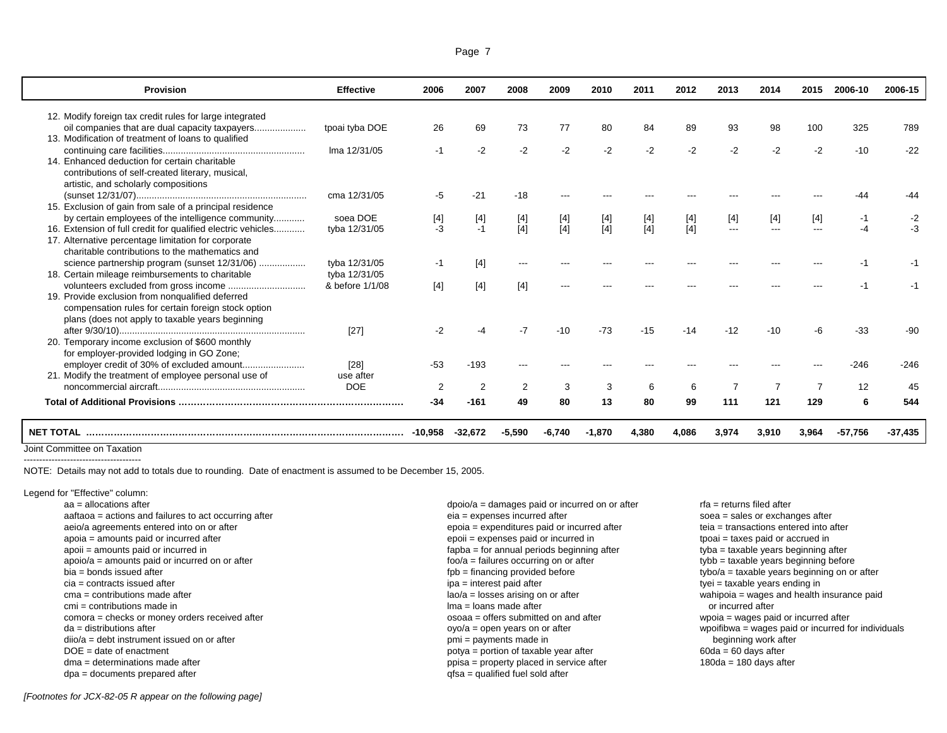| <b>Provision</b>                                                                                                                                            | <b>Effective</b> | 2006           | 2007           | 2008   | 2009   | 2010     | 2011  | 2012  | 2013           | 2014              | 2015           | 2006-10   | 2006-15   |
|-------------------------------------------------------------------------------------------------------------------------------------------------------------|------------------|----------------|----------------|--------|--------|----------|-------|-------|----------------|-------------------|----------------|-----------|-----------|
| 12. Modify foreign tax credit rules for large integrated                                                                                                    |                  |                |                |        |        |          |       |       |                |                   |                |           |           |
| oil companies that are dual capacity taxpayers                                                                                                              | tpoai tyba DOE   | 26             | 69             | 73     | 77     | 80       | 84    | 89    | 93             | 98                | 100            | 325       | 789       |
| 13. Modification of treatment of loans to qualified                                                                                                         |                  |                |                |        |        |          |       |       |                |                   |                |           |           |
|                                                                                                                                                             | Ima 12/31/05     | $-1$           | $-2$           | $-2$   | $-2$   | $-2$     | $-2$  | $-2$  | $-2$           | $-2$              | $-2$           | $-10$     | $-22$     |
| 14. Enhanced deduction for certain charitable<br>contributions of self-created literary, musical,<br>artistic, and scholarly compositions                   |                  |                |                |        |        |          |       |       |                |                   |                |           |           |
|                                                                                                                                                             | cma 12/31/05     | -5             | $-21$          | $-18$  |        |          |       |       |                |                   |                |           |           |
| 15. Exclusion of gain from sale of a principal residence                                                                                                    |                  |                |                |        |        |          |       |       |                |                   |                |           |           |
| by certain employees of the intelligence community                                                                                                          | soea DOE         | [4]            | $[4]$          |        |        |          |       | [4]   | $[4]$          | $[4]$             | $[4]$          | -1        | -2        |
| 16. Extension of full credit for qualified electric vehicles                                                                                                | tyba 12/31/05    | $-3$           | $-1$           | [4]    | $[4]$  | $[4]$    | $[4]$ | [4]   | ---            | $\qquad \qquad -$ | $---$          | $-4$      | -3        |
| 17. Alternative percentage limitation for corporate<br>charitable contributions to the mathematics and                                                      |                  |                |                |        |        |          |       |       |                |                   |                |           |           |
| science partnership program (sunset 12/31/06)                                                                                                               | tyba 12/31/05    | -1             | $[4]$          |        |        |          |       |       |                |                   |                |           |           |
| 18. Certain mileage reimbursements to charitable                                                                                                            | tyba 12/31/05    |                |                |        |        |          |       |       |                |                   |                |           |           |
|                                                                                                                                                             | & before 1/1/08  | $[4]$          | $[4]$          | $[4]$  |        |          |       |       |                |                   |                |           |           |
| 19. Provide exclusion from nonqualified deferred<br>compensation rules for certain foreign stock option<br>plans (does not apply to taxable years beginning |                  |                |                |        |        |          |       |       |                |                   |                |           |           |
|                                                                                                                                                             | $[27]$           | $-2$           |                |        | $-10$  | $-73$    | $-15$ | $-14$ | $-12$          | $-10$             |                | -33       | -90       |
| 20. Temporary income exclusion of \$600 monthly                                                                                                             |                  |                |                |        |        |          |       |       |                |                   |                |           |           |
| for employer-provided lodging in GO Zone;                                                                                                                   |                  |                |                |        |        |          |       |       |                |                   |                |           |           |
|                                                                                                                                                             | $[28]$           | $-53$          | $-193$         |        |        |          |       |       |                |                   |                | -246      | $-246$    |
| 21. Modify the treatment of employee personal use of                                                                                                        | use after        |                |                |        |        |          |       |       |                |                   |                |           |           |
|                                                                                                                                                             | <b>DOE</b>       | $\overline{2}$ | $\overline{2}$ | 2      | 3      | 3        | 6     | 6     | $\overline{7}$ | $\overline{7}$    | $\overline{7}$ | 12        | 45        |
|                                                                                                                                                             |                  | $-34$          | $-161$         | 49     | 80     | 13       | 80    | 99    | 111            | 121               | 129            | 6         | 544       |
| <b>NET TOTAL</b>                                                                                                                                            |                  | -10.958        | -32.672        | -5.590 | -6.740 | $-1.870$ | 4.380 | 4.086 | 3,974          | 3.910             | 3.964          | $-57.756$ | $-37,435$ |

--------------------------------------

NOTE: Details may not add to totals due to rounding. Date of enactment is assumed to be December 15, 2005.

Legend for "Effective" column: aa = allocations after

| 10 IOI EIIECUVE COIUIIIII.                            |                                                  |                                                    |
|-------------------------------------------------------|--------------------------------------------------|----------------------------------------------------|
| aa = allocations after                                | $dpoio/a = damages$ paid or incurred on or after | $rfa =$ returns filed after                        |
| aaftaoa = actions and failures to act occurring after | $eia =$ expenses incurred after                  | soea = sales or exchanges after                    |
| aeio/a agreements entered into on or after            | epoia = expenditures paid or incurred after      | teia = transactions entered into after             |
| $apoia = amounts paid or incurred after$              | epoil = expenses paid or incurred in             | tpoai = taxes paid or accrued in                   |
| apoii = amounts paid or incurred in                   | fapba = for annual periods beginning after       | tyba = taxable years beginning after               |
| $apoio/a = amounts paid or incurred on or after$      | $foo/a = failures occurring on or after$         | tybb = taxable years beginning before              |
| bia = bonds issued after                              | fpb = financing provided before                  | tybo/a = taxable years beginning on or after       |
| $cia = contracts$ issued after                        | ipa = interest paid after                        | tyei = taxable years ending in                     |
| $cma =$ contributions made after                      | $a0/a = losses arising on or after$              | wahipoia = wages and health insurance paid         |
| $cmi =$ contributions made in                         | $Ima = Ioans made after$                         | or incurred after                                  |
| comora = checks or money orders received after        | osoaa = offers submitted on and after            | wpoia = wages paid or incurred after               |
| $da =$ distributions after                            | $o$ yo/a = open years on or after                | wpoifibwa = wages paid or incurred for individuals |
| $diio/a =$ debt instrument issued on or after         | pmi = payments made in                           | beginning work after                               |
| $DOE = date of enactment$                             | potya = portion of taxable year after            | $60da = 60$ days after                             |
| $dma = determinantions made after$                    | ppisa = property placed in service after         | $180da = 180 days after$                           |
| $dpa =$ documents prepared after                      | gfsa = qualified fuel sold after                 |                                                    |
|                                                       |                                                  |                                                    |